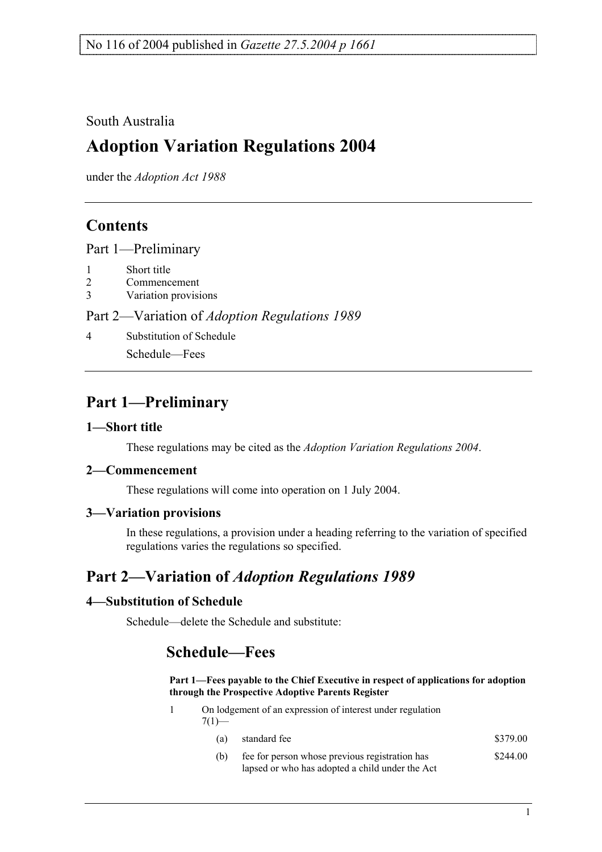## South Australia

# **Adoption Variation Regulations 2004**

under the *Adoption Act 1988*

## **Contents**

Part 1—Preliminary

- 1 Short title
- 2 Commencement
- 3 Variation provisions

Part 2—Variation of *Adoption Regulations 1989*

4 Substitution of Schedule

Schedule—Fees

# **Part 1—Preliminary**

## **1—Short title**

These regulations may be cited as the *Adoption Variation Regulations 2004*.

### **2—Commencement**

These regulations will come into operation on 1 July 2004.

## **3—Variation provisions**

In these regulations, a provision under a heading referring to the variation of specified regulations varies the regulations so specified.

# **Part 2—Variation of** *Adoption Regulations 1989*

## **4—Substitution of Schedule**

Schedule—delete the Schedule and substitute:

## **Schedule—Fees**

#### **Part 1—Fees payable to the Chief Executive in respect of applications for adoption through the Prospective Adoptive Parents Register**

- 1 On lodgement of an expression of interest under regulation  $7(1)$ — (a) standard fee  $$379.00$ 
	- (b) fee for person whose previous registration has \$244.00
		- lapsed or who has adopted a child under the Act